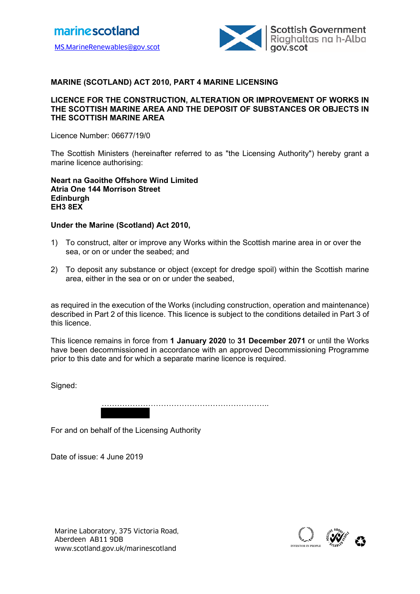

## **MARINE (SCOTLAND) ACT 2010, PART 4 MARINE LICENSING**

#### **LICENCE FOR THE CONSTRUCTION, ALTERATION OR IMPROVEMENT OF WORKS IN THE SCOTTISH MARINE AREA AND THE DEPOSIT OF SUBSTANCES OR OBJECTS IN THE SCOTTISH MARINE AREA**

Licence Number: 06677/19/0

The Scottish Ministers (hereinafter referred to as "the Licensing Authority") hereby grant a marine licence authorising:

#### **Neart na Gaoithe Offshore Wind Limited Atria One 144 Morrison Street Edinburgh EH3 8EX**

#### **Under the Marine (Scotland) Act 2010,**

- 1) To construct, alter or improve any Works within the Scottish marine area in or over the sea, or on or under the seabed; and
- 2) To deposit any substance or object (except for dredge spoil) within the Scottish marine area, either in the sea or on or under the seabed,

as required in the execution of the Works (including construction, operation and maintenance) described in Part 2 of this licence. This licence is subject to the conditions detailed in Part 3 of this licence.

This licence remains in force from **1 January 2020** to **31 December 2071** or until the Works have been decommissioned in accordance with an approved Decommissioning Programme prior to this date and for which a separate marine licence is required.

Signed:

………………………………………………………..

For and on behalf of the Licensing Authority

Date of issue: 4 June 2019

Marine Laboratory, 375 Victoria Road, <br>Aberdeen AB11 9DB<br>www.scotland.gov.uk/marinescotland abcomputer about a computer about a computer and abcomputer about a compute Aberdeen AB11 9DB

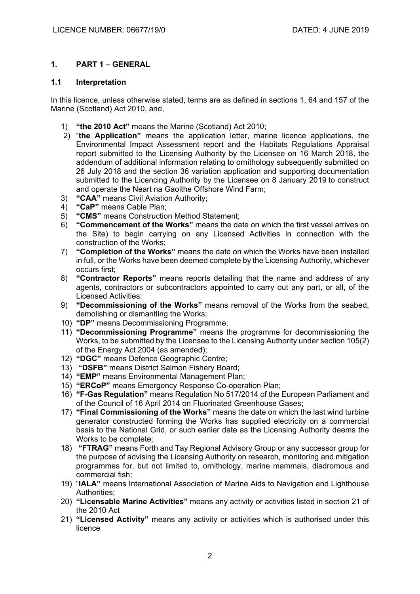# **1. PART 1 – GENERAL**

### **1.1 Interpretation**

In this licence, unless otherwise stated, terms are as defined in sections 1, 64 and 157 of the Marine (Scotland) Act 2010, and,

- 1) **"the 2010 Act"** means the Marine (Scotland) Act 2010;
- 2) "**the Application"** means the application letter, marine licence applications, the Environmental Impact Assessment report and the Habitats Regulations Appraisal report submitted to the Licensing Authority by the Licensee on 16 March 2018, the addendum of additional information relating to ornithology subsequently submitted on 26 July 2018 and the section 36 variation application and supporting documentation submitted to the Licencing Authority by the Licensee on 8 January 2019 to construct and operate the Neart na Gaoithe Offshore Wind Farm;
- 3) **"CAA"** means Civil Aviation Authority;
- 4) **"CaP"** means Cable Plan;
- 5) **"CMS"** means Construction Method Statement;
- 6) **"Commencement of the Works"** means the date on which the first vessel arrives on the Site) to begin carrying on any Licensed Activities in connection with the construction of the Works;
- 7) **"Completion of the Works"** means the date on which the Works have been installed in full, or the Works have been deemed complete by the Licensing Authority, whichever occurs first;
- 8) **"Contractor Reports"** means reports detailing that the name and address of any agents, contractors or subcontractors appointed to carry out any part, or all, of the Licensed Activities;
- 9) **"Decommissioning of the Works"** means removal of the Works from the seabed, demolishing or dismantling the Works;
- 10) **"DP"** means Decommissioning Programme;
- 11) **"Decommissioning Programme"** means the programme for decommissioning the Works, to be submitted by the Licensee to the Licensing Authority under section 105(2) of the Energy Act 2004 (as amended);
- 12) **"DGC"** means Defence Geographic Centre;
- 13) **"DSFB"** means District Salmon Fishery Board;
- 14) **"EMP"** means Environmental Management Plan;
- 15) **"ERCoP"** means Emergency Response Co-operation Plan;
- 16) **"F-Gas Regulation"** means Regulation No 517/2014 of the European Parliament and of the Council of 16 April 2014 on Fluorinated Greenhouse Gases;
- 17) **"Final Commissioning of the Works"** means the date on which the last wind turbine generator constructed forming the Works has supplied electricity on a commercial basis to the National Grid, or such earlier date as the Licensing Authority deems the Works to be complete;
- 18) **"FTRAG"** means Forth and Tay Regional Advisory Group or any successor group for the purpose of advising the Licensing Authority on research, monitoring and mitigation programmes for, but not limited to, ornithology, marine mammals, diadromous and commercial fish;
- 19) "**IALA"** means International Association of Marine Aids to Navigation and Lighthouse Authorities;
- 20) **"Licensable Marine Activities"** means any activity or activities listed in section 21 of the 2010 Act
- 21) **"Licensed Activity"** means any activity or activities which is authorised under this licence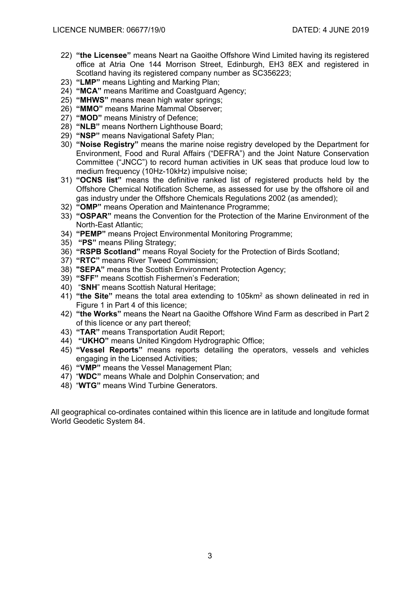- 22) **"the Licensee"** means Neart na Gaoithe Offshore Wind Limited having its registered office at Atria One 144 Morrison Street, Edinburgh, EH3 8EX and registered in Scotland having its registered company number as SC356223;
- 23) **"LMP"** means Lighting and Marking Plan;
- 24) **"MCA"** means Maritime and Coastguard Agency;
- 25) **"MHWS"** means mean high water springs;
- 26) **"MMO"** means Marine Mammal Observer;
- 27) **"MOD"** means Ministry of Defence;
- 28) **"NLB"** means Northern Lighthouse Board;
- 29) **"NSP"** means Navigational Safety Plan;
- 30) **"Noise Registry"** means the marine noise registry developed by the Department for Environment, Food and Rural Affairs ("DEFRA") and the Joint Nature Conservation Committee ("JNCC") to record human activities in UK seas that produce loud low to medium frequency (10Hz-10kHz) impulsive noise;
- 31) **"OCNS list"** means the definitive ranked list of registered products held by the Offshore Chemical Notification Scheme, as assessed for use by the offshore oil and gas industry under the Offshore Chemicals Regulations 2002 (as amended);
- 32) **"OMP"** means Operation and Maintenance Programme;
- 33) **"OSPAR"** means the Convention for the Protection of the Marine Environment of the North-East Atlantic;
- 34) **"PEMP"** means Project Environmental Monitoring Programme;
- 35) **"PS"** means Piling Strategy;
- 36) **"RSPB Scotland"** means Royal Society for the Protection of Birds Scotland;
- 37) **"RTC"** means River Tweed Commission;
- 38) **"SEPA"** means the Scottish Environment Protection Agency;
- 39) **"SFF"** means Scottish Fishermen's Federation;
- 40) "**SNH**" means Scottish Natural Heritage;
- 41) **"the Site"** means the total area extending to 105km2 as shown delineated in red in Figure 1 in Part 4 of this licence;
- 42) **"the Works"** means the Neart na Gaoithe Offshore Wind Farm as described in Part 2 of this licence or any part thereof;
- 43) **"TAR"** means Transportation Audit Report;
- 44) **"UKHO"** means United Kingdom Hydrographic Office;
- 45) **"Vessel Reports"** means reports detailing the operators, vessels and vehicles engaging in the Licensed Activities;
- 46) **"VMP"** means the Vessel Management Plan;
- 47) "**WDC"** means Whale and Dolphin Conservation; and
- 48) "**WTG"** means Wind Turbine Generators.

All geographical co-ordinates contained within this licence are in latitude and longitude format World Geodetic System 84.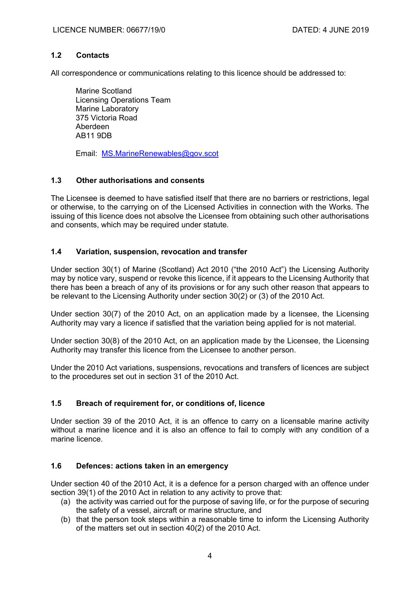### **1.2 Contacts**

All correspondence or communications relating to this licence should be addressed to:

Marine Scotland Licensing Operations Team Marine Laboratory 375 Victoria Road Aberdeen AB11 9DB

Email: MS.MarineRenewables@gov.scot

## **1.3 Other authorisations and consents**

The Licensee is deemed to have satisfied itself that there are no barriers or restrictions, legal or otherwise, to the carrying on of the Licensed Activities in connection with the Works. The issuing of this licence does not absolve the Licensee from obtaining such other authorisations and consents, which may be required under statute.

## **1.4 Variation, suspension, revocation and transfer**

Under section 30(1) of Marine (Scotland) Act 2010 ("the 2010 Act") the Licensing Authority may by notice vary, suspend or revoke this licence, if it appears to the Licensing Authority that there has been a breach of any of its provisions or for any such other reason that appears to be relevant to the Licensing Authority under section 30(2) or (3) of the 2010 Act.

Under section 30(7) of the 2010 Act, on an application made by a licensee, the Licensing Authority may vary a licence if satisfied that the variation being applied for is not material.

Under section 30(8) of the 2010 Act, on an application made by the Licensee, the Licensing Authority may transfer this licence from the Licensee to another person.

Under the 2010 Act variations, suspensions, revocations and transfers of licences are subject to the procedures set out in section 31 of the 2010 Act.

### **1.5 Breach of requirement for, or conditions of, licence**

Under section 39 of the 2010 Act, it is an offence to carry on a licensable marine activity without a marine licence and it is also an offence to fail to comply with any condition of a marine licence.

### **1.6 Defences: actions taken in an emergency**

Under section 40 of the 2010 Act, it is a defence for a person charged with an offence under section 39(1) of the 2010 Act in relation to any activity to prove that:

- (a) the activity was carried out for the purpose of saving life, or for the purpose of securing the safety of a vessel, aircraft or marine structure, and
- (b) that the person took steps within a reasonable time to inform the Licensing Authority of the matters set out in section 40(2) of the 2010 Act.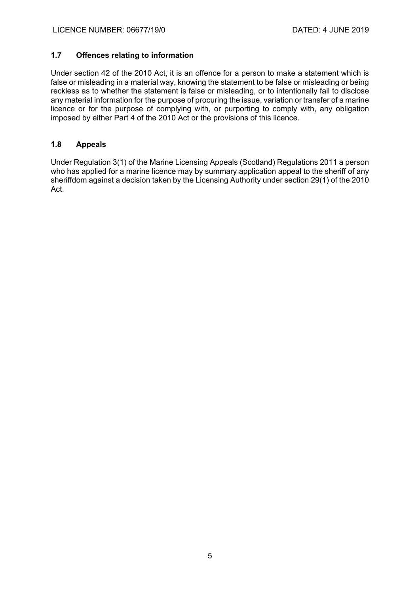## **1.7 Offences relating to information**

Under section 42 of the 2010 Act, it is an offence for a person to make a statement which is false or misleading in a material way, knowing the statement to be false or misleading or being reckless as to whether the statement is false or misleading, or to intentionally fail to disclose any material information for the purpose of procuring the issue, variation or transfer of a marine licence or for the purpose of complying with, or purporting to comply with, any obligation imposed by either Part 4 of the 2010 Act or the provisions of this licence.

## **1.8 Appeals**

Under Regulation 3(1) of the Marine Licensing Appeals (Scotland) Regulations 2011 a person who has applied for a marine licence may by summary application appeal to the sheriff of any sheriffdom against a decision taken by the Licensing Authority under section 29(1) of the 2010 Act.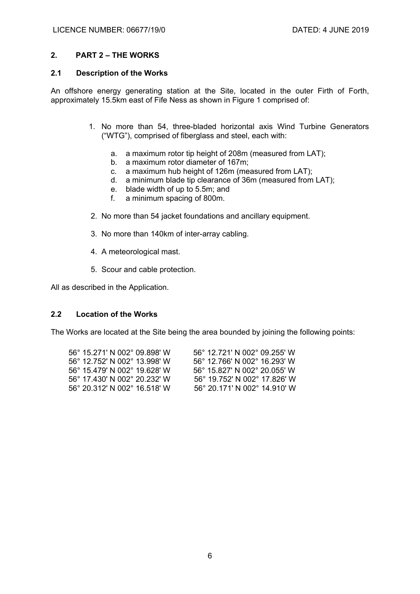#### **2. PART 2 – THE WORKS**

#### **2.1 Description of the Works**

An offshore energy generating station at the Site, located in the outer Firth of Forth, approximately 15.5km east of Fife Ness as shown in Figure 1 comprised of:

- 1. No more than 54, three-bladed horizontal axis Wind Turbine Generators ("WTG"), comprised of fiberglass and steel, each with:
	- a. a maximum rotor tip height of 208m (measured from LAT);
	- b. a maximum rotor diameter of 167m;
	- c. a maximum hub height of 126m (measured from LAT);
	- d. a minimum blade tip clearance of 36m (measured from LAT);
	- e. blade width of up to 5.5m; and
	- f. a minimum spacing of 800m.
- 2. No more than 54 jacket foundations and ancillary equipment.
- 3. No more than 140km of inter-array cabling.
- 4. A meteorological mast.
- 5. Scour and cable protection.

All as described in the Application.

#### **2.2 Location of the Works**

The Works are located at the Site being the area bounded by joining the following points:

| 56° 15.271' N 002° 09.898' W | 56° 12.721′ N 002° 09.255′ W |
|------------------------------|------------------------------|
| 56° 12 752' N 002° 13 998' W | 56° 12.766' N 002° 16.293' W |
| 56° 15.479' N 002° 19.628' W | 56° 15.827' N 002° 20.055' W |
| 56° 17.430' N 002° 20.232' W | 56° 19.752′ N 002° 17.826′ W |
| 56° 20 312' N 002° 16 518' W | 56° 20.171' N 002° 14.910' W |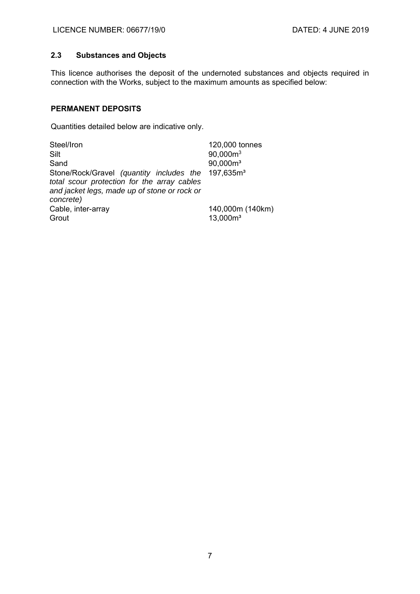# **2.3 Substances and Objects**

This licence authorises the deposit of the undernoted substances and objects required in connection with the Works, subject to the maximum amounts as specified below:

## **PERMANENT DEPOSITS**

Quantities detailed below are indicative only.

| Steel/Iron                                                                                                                                                                 | 120,000 tonnes                  |
|----------------------------------------------------------------------------------------------------------------------------------------------------------------------------|---------------------------------|
| Silt                                                                                                                                                                       | $90,000m^3$                     |
| Sand                                                                                                                                                                       | $90,000m^3$                     |
| Stone/Rock/Gravel (quantity includes the 197,635m <sup>3</sup><br>total scour protection for the array cables<br>and jacket legs, made up of stone or rock or<br>concrete) |                                 |
| Cable, inter-array<br>Grout                                                                                                                                                | 140,000m (140km)<br>$13,000m^3$ |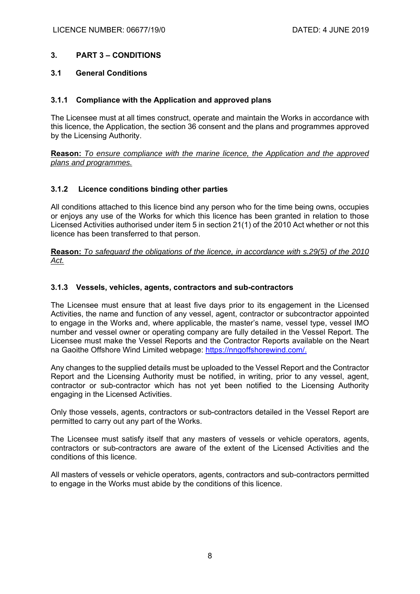## **3. PART 3 – CONDITIONS**

### **3.1 General Conditions**

### **3.1.1 Compliance with the Application and approved plans**

The Licensee must at all times construct, operate and maintain the Works in accordance with this licence, the Application, the section 36 consent and the plans and programmes approved by the Licensing Authority.

**Reason:** *To ensure compliance with the marine licence, the Application and the approved plans and programmes.* 

## **3.1.2 Licence conditions binding other parties**

All conditions attached to this licence bind any person who for the time being owns, occupies or enjoys any use of the Works for which this licence has been granted in relation to those Licensed Activities authorised under item 5 in section 21(1) of the 2010 Act whether or not this licence has been transferred to that person.

**Reason:** *To safeguard the obligations of the licence, in accordance with s.29(5) of the 2010 Act.*

## **3.1.3 Vessels, vehicles, agents, contractors and sub-contractors**

The Licensee must ensure that at least five days prior to its engagement in the Licensed Activities, the name and function of any vessel, agent, contractor or subcontractor appointed to engage in the Works and, where applicable, the master's name, vessel type, vessel IMO number and vessel owner or operating company are fully detailed in the Vessel Report. The Licensee must make the Vessel Reports and the Contractor Reports available on the Neart na Gaoithe Offshore Wind Limited webpage: https://nngoffshorewind.com/.

Any changes to the supplied details must be uploaded to the Vessel Report and the Contractor Report and the Licensing Authority must be notified, in writing, prior to any vessel, agent, contractor or sub-contractor which has not yet been notified to the Licensing Authority engaging in the Licensed Activities.

Only those vessels, agents, contractors or sub-contractors detailed in the Vessel Report are permitted to carry out any part of the Works.

The Licensee must satisfy itself that any masters of vessels or vehicle operators, agents, contractors or sub-contractors are aware of the extent of the Licensed Activities and the conditions of this licence.

All masters of vessels or vehicle operators, agents, contractors and sub-contractors permitted to engage in the Works must abide by the conditions of this licence.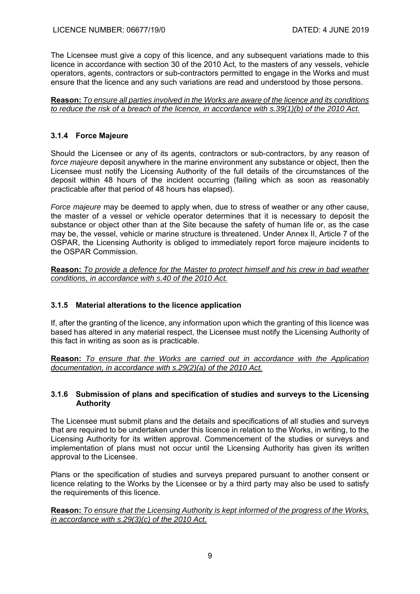The Licensee must give a copy of this licence, and any subsequent variations made to this licence in accordance with section 30 of the 2010 Act, to the masters of any vessels, vehicle operators, agents, contractors or sub-contractors permitted to engage in the Works and must ensure that the licence and any such variations are read and understood by those persons.

**Reason:** *To ensure all parties involved in the Works are aware of the licence and its conditions to reduce the risk of a breach of the licence, in accordance with s.39(1)(b) of the 2010 Act.* 

## **3.1.4 Force Majeure**

Should the Licensee or any of its agents, contractors or sub-contractors, by any reason of *force majeure* deposit anywhere in the marine environment any substance or object, then the Licensee must notify the Licensing Authority of the full details of the circumstances of the deposit within 48 hours of the incident occurring (failing which as soon as reasonably practicable after that period of 48 hours has elapsed).

*Force majeure* may be deemed to apply when, due to stress of weather or any other cause, the master of a vessel or vehicle operator determines that it is necessary to deposit the substance or object other than at the Site because the safety of human life or, as the case may be, the vessel, vehicle or marine structure is threatened. Under Annex II, Article 7 of the OSPAR, the Licensing Authority is obliged to immediately report force majeure incidents to the OSPAR Commission.

**Reason:** *To provide a defence for the Master to protect himself and his crew in bad weather conditions, in accordance with s.40 of the 2010 Act.* 

# **3.1.5 Material alterations to the licence application**

If, after the granting of the licence, any information upon which the granting of this licence was based has altered in any material respect, the Licensee must notify the Licensing Authority of this fact in writing as soon as is practicable.

**Reason:** *To ensure that the Works are carried out in accordance with the Application documentation, in accordance with s.29(2)(a) of the 2010 Act.*

### **3.1.6 Submission of plans and specification of studies and surveys to the Licensing Authority**

The Licensee must submit plans and the details and specifications of all studies and surveys that are required to be undertaken under this licence in relation to the Works, in writing, to the Licensing Authority for its written approval. Commencement of the studies or surveys and implementation of plans must not occur until the Licensing Authority has given its written approval to the Licensee.

Plans or the specification of studies and surveys prepared pursuant to another consent or licence relating to the Works by the Licensee or by a third party may also be used to satisfy the requirements of this licence.

**Reason:** *To ensure that the Licensing Authority is kept informed of the progress of the Works, in accordance with s.29(3)(c) of the 2010 Act.*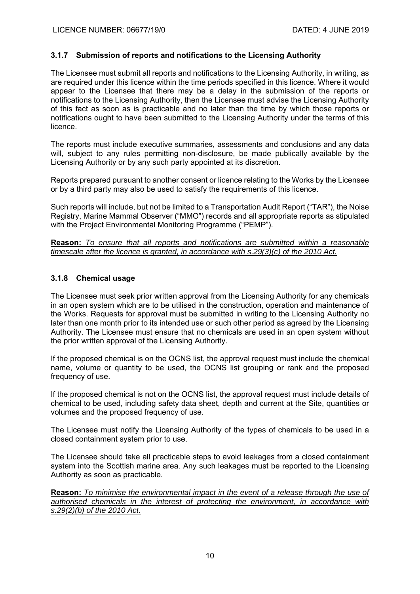## **3.1.7 Submission of reports and notifications to the Licensing Authority**

The Licensee must submit all reports and notifications to the Licensing Authority, in writing, as are required under this licence within the time periods specified in this licence. Where it would appear to the Licensee that there may be a delay in the submission of the reports or notifications to the Licensing Authority, then the Licensee must advise the Licensing Authority of this fact as soon as is practicable and no later than the time by which those reports or notifications ought to have been submitted to the Licensing Authority under the terms of this licence.

The reports must include executive summaries, assessments and conclusions and any data will, subject to any rules permitting non-disclosure, be made publically available by the Licensing Authority or by any such party appointed at its discretion.

Reports prepared pursuant to another consent or licence relating to the Works by the Licensee or by a third party may also be used to satisfy the requirements of this licence.

Such reports will include, but not be limited to a Transportation Audit Report ("TAR"), the Noise Registry, Marine Mammal Observer ("MMO") records and all appropriate reports as stipulated with the Project Environmental Monitoring Programme ("PEMP").

**Reason:** *To ensure that all reports and notifications are submitted within a reasonable timescale after the licence is granted, in accordance with s.29(3)(c) of the 2010 Act.* 

### **3.1.8 Chemical usage**

The Licensee must seek prior written approval from the Licensing Authority for any chemicals in an open system which are to be utilised in the construction, operation and maintenance of the Works. Requests for approval must be submitted in writing to the Licensing Authority no later than one month prior to its intended use or such other period as agreed by the Licensing Authority. The Licensee must ensure that no chemicals are used in an open system without the prior written approval of the Licensing Authority.

If the proposed chemical is on the OCNS list, the approval request must include the chemical name, volume or quantity to be used, the OCNS list grouping or rank and the proposed frequency of use.

If the proposed chemical is not on the OCNS list, the approval request must include details of chemical to be used, including safety data sheet, depth and current at the Site, quantities or volumes and the proposed frequency of use.

The Licensee must notify the Licensing Authority of the types of chemicals to be used in a closed containment system prior to use.

The Licensee should take all practicable steps to avoid leakages from a closed containment system into the Scottish marine area. Any such leakages must be reported to the Licensing Authority as soon as practicable.

**Reason:** *To minimise the environmental impact in the event of a release through the use of authorised chemicals in the interest of protecting the environment, in accordance with s.29(2)(b) of the 2010 Act.*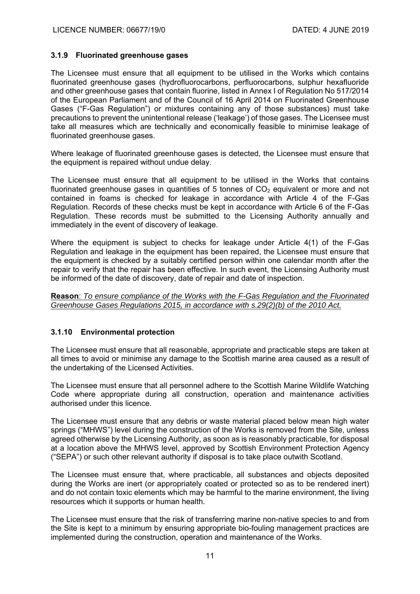#### **3.1.9 Fluorinated greenhouse gases**

The Licensee must ensure that all equipment to be utilised in the Works which contains fluorinated greenhouse gases (hydrofluorocarbons, perfluorocarbons, sulphur hexafluoride and other greenhouse gases that contain fluorine, listed in Annex I of Regulation No 517/2014 of the European Parliament and of the Council of 16 April 2014 on Fluorinated Greenhouse Gases ("F-Gas Regulation") or mixtures containing any of those substances) must take precautions to prevent the unintentional release ('leakage') of those gases. The Licensee must take all measures which are technically and economically feasible to minimise leakage of fluorinated greenhouse gases.

Where leakage of fluorinated greenhouse gases is detected, the Licensee must ensure that the equipment is repaired without undue delay.

The Licensee must ensure that all equipment to be utilised in the Works that contains fluorinated greenhouse gases in quantities of 5 tonnes of  $CO<sub>2</sub>$  equivalent or more and not contained in foams is checked for leakage in accordance with Article 4 of the F-Gas Regulation. Records of these checks must be kept in accordance with Article 6 of the F-Gas Regulation. These records must be submitted to the Licensing Authority annually and immediately in the event of discovery of leakage.

Where the equipment is subject to checks for leakage under Article 4(1) of the F-Gas Regulation and leakage in the equipment has been repaired, the Licensee must ensure that the equipment is checked by a suitably certified person within one calendar month after the repair to verify that the repair has been effective. In such event, the Licensing Authority must be informed of the date of discovery, date of repair and date of inspection.

**Reason**: *To ensure compliance of the Works with the F-Gas Regulation and the Fluorinated Greenhouse Gases Regulations 2015, in accordance with s.29(2)(b) of the 2010 Act.* 

### **3.1.10 Environmental protection**

The Licensee must ensure that all reasonable, appropriate and practicable steps are taken at all times to avoid or minimise any damage to the Scottish marine area caused as a result of the undertaking of the Licensed Activities.

The Licensee must ensure that all personnel adhere to the Scottish Marine Wildlife Watching Code where appropriate during all construction, operation and maintenance activities authorised under this licence.

The Licensee must ensure that any debris or waste material placed below mean high water springs ("MHWS") level during the construction of the Works is removed from the Site, unless agreed otherwise by the Licensing Authority, as soon as is reasonably practicable, for disposal at a location above the MHWS level, approved by Scottish Environment Protection Agency ("SEPA") or such other relevant authority if disposal is to take place outwith Scotland.

The Licensee must ensure that, where practicable, all substances and objects deposited during the Works are inert (or appropriately coated or protected so as to be rendered inert) and do not contain toxic elements which may be harmful to the marine environment, the living resources which it supports or human health.

The Licensee must ensure that the risk of transferring marine non-native species to and from the Site is kept to a minimum by ensuring appropriate bio-fouling management practices are implemented during the construction, operation and maintenance of the Works.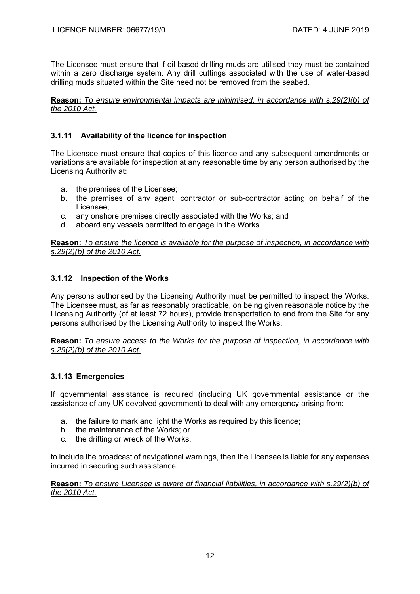The Licensee must ensure that if oil based drilling muds are utilised they must be contained within a zero discharge system. Any drill cuttings associated with the use of water-based drilling muds situated within the Site need not be removed from the seabed.

**Reason:** *To ensure environmental impacts are minimised, in accordance with s.29(2)(b) of the 2010 Act.*

## **3.1.11 Availability of the licence for inspection**

The Licensee must ensure that copies of this licence and any subsequent amendments or variations are available for inspection at any reasonable time by any person authorised by the Licensing Authority at:

- a. the premises of the Licensee;
- b. the premises of any agent, contractor or sub-contractor acting on behalf of the Licensee;
- c. any onshore premises directly associated with the Works; and
- d. aboard any vessels permitted to engage in the Works.

**Reason:** *To ensure the licence is available for the purpose of inspection, in accordance with s.29(2)(b) of the 2010 Act.*

### **3.1.12 Inspection of the Works**

Any persons authorised by the Licensing Authority must be permitted to inspect the Works. The Licensee must, as far as reasonably practicable, on being given reasonable notice by the Licensing Authority (of at least 72 hours), provide transportation to and from the Site for any persons authorised by the Licensing Authority to inspect the Works.

**Reason:** *To ensure access to the Works for the purpose of inspection, in accordance with s.29(2)(b) of the 2010 Act.* 

### **3.1.13 Emergencies**

If governmental assistance is required (including UK governmental assistance or the assistance of any UK devolved government) to deal with any emergency arising from:

- a. the failure to mark and light the Works as required by this licence;
- b. the maintenance of the Works; or
- c. the drifting or wreck of the Works,

to include the broadcast of navigational warnings, then the Licensee is liable for any expenses incurred in securing such assistance.

**Reason:** *To ensure Licensee is aware of financial liabilities, in accordance with s.29(2)(b) of the 2010 Act.*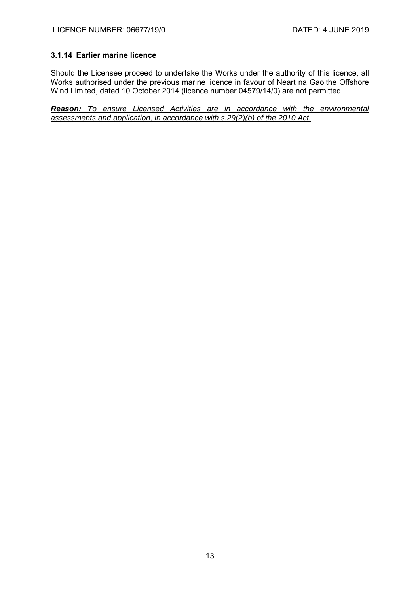### **3.1.14 Earlier marine licence**

Should the Licensee proceed to undertake the Works under the authority of this licence, all Works authorised under the previous marine licence in favour of Neart na Gaoithe Offshore Wind Limited, dated 10 October 2014 (licence number 04579/14/0) are not permitted.

*Reason: To ensure Licensed Activities are in accordance with the environmental assessments and application, in accordance with s.29(2)(b) of the 2010 Act.*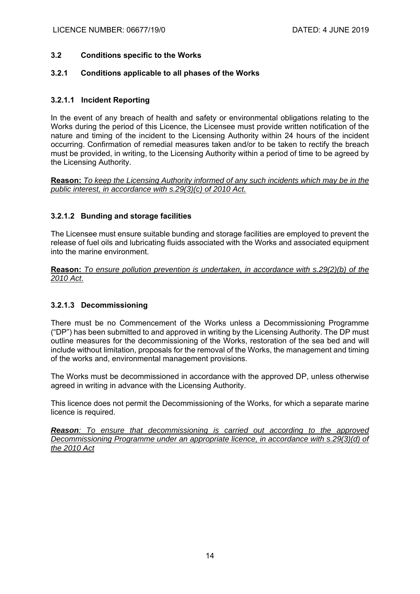## **3.2 Conditions specific to the Works**

### **3.2.1 Conditions applicable to all phases of the Works**

## **3.2.1.1 Incident Reporting**

In the event of any breach of health and safety or environmental obligations relating to the Works during the period of this Licence, the Licensee must provide written notification of the nature and timing of the incident to the Licensing Authority within 24 hours of the incident occurring. Confirmation of remedial measures taken and/or to be taken to rectify the breach must be provided, in writing, to the Licensing Authority within a period of time to be agreed by the Licensing Authority.

**Reason:** *To keep the Licensing Authority informed of any such incidents which may be in the public interest, in accordance with s.29(3)(c) of 2010 Act.*

## **3.2.1.2 Bunding and storage facilities**

The Licensee must ensure suitable bunding and storage facilities are employed to prevent the release of fuel oils and lubricating fluids associated with the Works and associated equipment into the marine environment.

**Reason:** *To ensure pollution prevention is undertaken, in accordance with s.29(2)(b) of the 2010 Act*.

# **3.2.1.3 Decommissioning**

There must be no Commencement of the Works unless a Decommissioning Programme ("DP") has been submitted to and approved in writing by the Licensing Authority. The DP must outline measures for the decommissioning of the Works, restoration of the sea bed and will include without limitation, proposals for the removal of the Works, the management and timing of the works and, environmental management provisions.

The Works must be decommissioned in accordance with the approved DP, unless otherwise agreed in writing in advance with the Licensing Authority.

This licence does not permit the Decommissioning of the Works, for which a separate marine licence is required.

*Reason: To ensure that decommissioning is carried out according to the approved Decommissioning Programme under an appropriate licence, in accordance with s.29(3)(d) of the 2010 Act*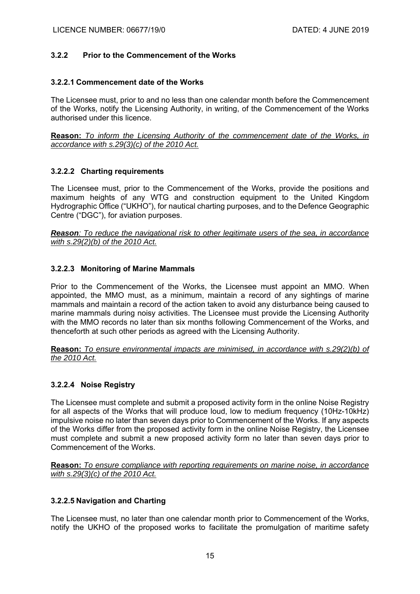### **3.2.2 Prior to the Commencement of the Works**

#### **3.2.2.1 Commencement date of the Works**

The Licensee must, prior to and no less than one calendar month before the Commencement of the Works, notify the Licensing Authority, in writing, of the Commencement of the Works authorised under this licence.

**Reason:** *To inform the Licensing Authority of the commencement date of the Works, in accordance with s.29(3)(c) of the 2010 Act.* 

### **3.2.2.2 Charting requirements**

The Licensee must, prior to the Commencement of the Works, provide the positions and maximum heights of any WTG and construction equipment to the United Kingdom Hydrographic Office ("UKHO"), for nautical charting purposes, and to the Defence Geographic Centre ("DGC"), for aviation purposes.

*Reason: To reduce the navigational risk to other legitimate users of the sea, in accordance with s.29(2)(b) of the 2010 Act.* 

### **3.2.2.3 Monitoring of Marine Mammals**

Prior to the Commencement of the Works, the Licensee must appoint an MMO. When appointed, the MMO must, as a minimum, maintain a record of any sightings of marine mammals and maintain a record of the action taken to avoid any disturbance being caused to marine mammals during noisy activities. The Licensee must provide the Licensing Authority with the MMO records no later than six months following Commencement of the Works, and thenceforth at such other periods as agreed with the Licensing Authority.

**Reason:** *To ensure environmental impacts are minimised, in accordance with s.29(2)(b) of the 2010 Act.* 

### **3.2.2.4 Noise Registry**

The Licensee must complete and submit a proposed activity form in the online Noise Registry for all aspects of the Works that will produce loud, low to medium frequency (10Hz-10kHz) impulsive noise no later than seven days prior to Commencement of the Works. If any aspects of the Works differ from the proposed activity form in the online Noise Registry, the Licensee must complete and submit a new proposed activity form no later than seven days prior to Commencement of the Works.

**Reason:** *To ensure compliance with reporting requirements on marine noise, in accordance with s.29(3)(c) of the 2010 Act.* 

### **3.2.2.5 Navigation and Charting**

The Licensee must, no later than one calendar month prior to Commencement of the Works, notify the UKHO of the proposed works to facilitate the promulgation of maritime safety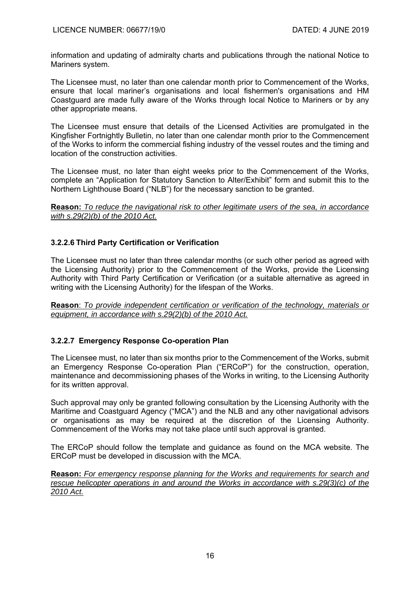information and updating of admiralty charts and publications through the national Notice to Mariners system.

The Licensee must, no later than one calendar month prior to Commencement of the Works, ensure that local mariner's organisations and local fishermen's organisations and HM Coastguard are made fully aware of the Works through local Notice to Mariners or by any other appropriate means.

The Licensee must ensure that details of the Licensed Activities are promulgated in the Kingfisher Fortnightly Bulletin, no later than one calendar month prior to the Commencement of the Works to inform the commercial fishing industry of the vessel routes and the timing and location of the construction activities.

The Licensee must, no later than eight weeks prior to the Commencement of the Works, complete an "Application for Statutory Sanction to Alter/Exhibit" form and submit this to the Northern Lighthouse Board ("NLB") for the necessary sanction to be granted.

**Reason:** *To reduce the navigational risk to other legitimate users of the sea, in accordance with s.29(2)(b) of the 2010 Act.* 

## **3.2.2.6 Third Party Certification or Verification**

The Licensee must no later than three calendar months (or such other period as agreed with the Licensing Authority) prior to the Commencement of the Works, provide the Licensing Authority with Third Party Certification or Verification (or a suitable alternative as agreed in writing with the Licensing Authority) for the lifespan of the Works.

**Reason**: *To provide independent certification or verification of the technology, materials or equipment, in accordance with s.29(2)(b) of the 2010 Act.* 

# **3.2.2.7 Emergency Response Co-operation Plan**

The Licensee must, no later than six months prior to the Commencement of the Works, submit an Emergency Response Co-operation Plan ("ERCoP") for the construction, operation, maintenance and decommissioning phases of the Works in writing, to the Licensing Authority for its written approval.

Such approval may only be granted following consultation by the Licensing Authority with the Maritime and Coastguard Agency ("MCA") and the NLB and any other navigational advisors or organisations as may be required at the discretion of the Licensing Authority. Commencement of the Works may not take place until such approval is granted.

The ERCoP should follow the template and guidance as found on the MCA website. The ERCoP must be developed in discussion with the MCA.

**Reason:** *For emergency response planning for the Works and requirements for search and rescue helicopter operations in and around the Works in accordance with s.29(3)(c) of the 2010 Act.*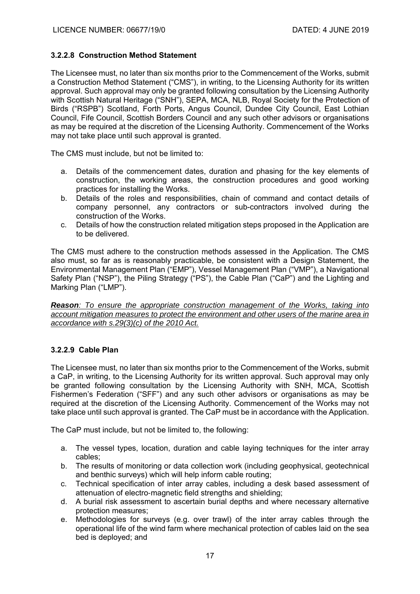## **3.2.2.8 Construction Method Statement**

The Licensee must, no later than six months prior to the Commencement of the Works, submit a Construction Method Statement ("CMS"), in writing, to the Licensing Authority for its written approval. Such approval may only be granted following consultation by the Licensing Authority with Scottish Natural Heritage ("SNH"), SEPA, MCA, NLB, Royal Society for the Protection of Birds ("RSPB") Scotland, Forth Ports, Angus Council, Dundee City Council, East Lothian Council, Fife Council, Scottish Borders Council and any such other advisors or organisations as may be required at the discretion of the Licensing Authority. Commencement of the Works may not take place until such approval is granted.

The CMS must include, but not be limited to:

- a. Details of the commencement dates, duration and phasing for the key elements of construction, the working areas, the construction procedures and good working practices for installing the Works.
- b. Details of the roles and responsibilities, chain of command and contact details of company personnel, any contractors or sub-contractors involved during the construction of the Works.
- c. Details of how the construction related mitigation steps proposed in the Application are to be delivered.

The CMS must adhere to the construction methods assessed in the Application. The CMS also must, so far as is reasonably practicable, be consistent with a Design Statement, the Environmental Management Plan ("EMP"), Vessel Management Plan ("VMP"), a Navigational Safety Plan ("NSP"), the Piling Strategy ("PS"), the Cable Plan ("CaP") and the Lighting and Marking Plan ("LMP").

*Reason: To ensure the appropriate construction management of the Works, taking into account mitigation measures to protect the environment and other users of the marine area in accordance with s.29(3)(c) of the 2010 Act.* 

### **3.2.2.9 Cable Plan**

The Licensee must, no later than six months prior to the Commencement of the Works, submit a CaP, in writing, to the Licensing Authority for its written approval. Such approval may only be granted following consultation by the Licensing Authority with SNH, MCA, Scottish Fishermen's Federation ("SFF") and any such other advisors or organisations as may be required at the discretion of the Licensing Authority. Commencement of the Works may not take place until such approval is granted. The CaP must be in accordance with the Application.

The CaP must include, but not be limited to, the following:

- a. The vessel types, location, duration and cable laying techniques for the inter array cables;
- b. The results of monitoring or data collection work (including geophysical, geotechnical and benthic surveys) which will help inform cable routing;
- c. Technical specification of inter array cables, including a desk based assessment of attenuation of electro‐magnetic field strengths and shielding;
- d. A burial risk assessment to ascertain burial depths and where necessary alternative protection measures;
- e. Methodologies for surveys (e.g. over trawl) of the inter array cables through the operational life of the wind farm where mechanical protection of cables laid on the sea bed is deployed; and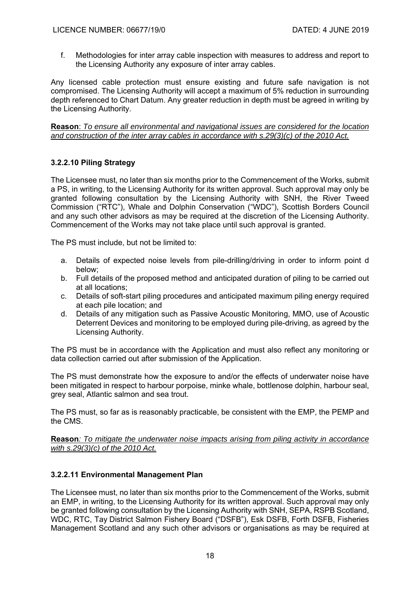f. Methodologies for inter array cable inspection with measures to address and report to the Licensing Authority any exposure of inter array cables.

Any licensed cable protection must ensure existing and future safe navigation is not compromised. The Licensing Authority will accept a maximum of 5% reduction in surrounding depth referenced to Chart Datum. Any greater reduction in depth must be agreed in writing by the Licensing Authority.

**Reason**: *To ensure all environmental and navigational issues are considered for the location and construction of the inter array cables in accordance with s.29(3)(c) of the 2010 Act.*

# **3.2.2.10 Piling Strategy**

The Licensee must, no later than six months prior to the Commencement of the Works, submit a PS, in writing, to the Licensing Authority for its written approval. Such approval may only be granted following consultation by the Licensing Authority with SNH, the River Tweed Commission ("RTC"), Whale and Dolphin Conservation ("WDC"), Scottish Borders Council and any such other advisors as may be required at the discretion of the Licensing Authority. Commencement of the Works may not take place until such approval is granted.

The PS must include, but not be limited to:

- a. Details of expected noise levels from pile-drilling/driving in order to inform point d below;
- b. Full details of the proposed method and anticipated duration of piling to be carried out at all locations;
- c. Details of soft-start piling procedures and anticipated maximum piling energy required at each pile location; and
- d. Details of any mitigation such as Passive Acoustic Monitoring, MMO, use of Acoustic Deterrent Devices and monitoring to be employed during pile-driving, as agreed by the Licensing Authority.

The PS must be in accordance with the Application and must also reflect any monitoring or data collection carried out after submission of the Application.

The PS must demonstrate how the exposure to and/or the effects of underwater noise have been mitigated in respect to harbour porpoise, minke whale, bottlenose dolphin, harbour seal, grey seal, Atlantic salmon and sea trout.

The PS must, so far as is reasonably practicable, be consistent with the EMP, the PEMP and the CMS.

**Reason***: To mitigate the underwater noise impacts arising from piling activity in accordance with s.29(3)(c) of the 2010 Act.* 

### **3.2.2.11 Environmental Management Plan**

The Licensee must, no later than six months prior to the Commencement of the Works, submit an EMP, in writing, to the Licensing Authority for its written approval. Such approval may only be granted following consultation by the Licensing Authority with SNH, SEPA, RSPB Scotland, WDC, RTC, Tay District Salmon Fishery Board ("DSFB"), Esk DSFB, Forth DSFB, Fisheries Management Scotland and any such other advisors or organisations as may be required at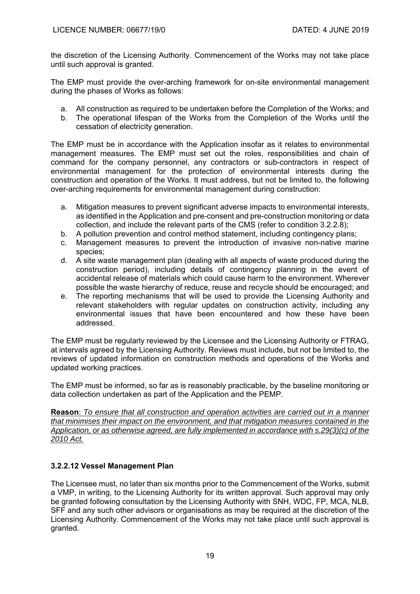the discretion of the Licensing Authority. Commencement of the Works may not take place until such approval is granted.

The EMP must provide the over-arching framework for on-site environmental management during the phases of Works as follows:

- a. All construction as required to be undertaken before the Completion of the Works; and
- b. The operational lifespan of the Works from the Completion of the Works until the cessation of electricity generation.

The EMP must be in accordance with the Application insofar as it relates to environmental management measures. The EMP must set out the roles, responsibilities and chain of command for the company personnel, any contractors or sub-contractors in respect of environmental management for the protection of environmental interests during the construction and operation of the Works. It must address, but not be limited to, the following over-arching requirements for environmental management during construction:

- a. Mitigation measures to prevent significant adverse impacts to environmental interests, as identified in the Application and pre-consent and pre-construction monitoring or data collection, and include the relevant parts of the CMS (refer to condition 3.2.2.8);
- b. A pollution prevention and control method statement, including contingency plans;
- c. Management measures to prevent the introduction of invasive non-native marine species;
- d. A site waste management plan (dealing with all aspects of waste produced during the construction period), including details of contingency planning in the event of accidental release of materials which could cause harm to the environment. Wherever possible the waste hierarchy of reduce, reuse and recycle should be encouraged; and
- e. The reporting mechanisms that will be used to provide the Licensing Authority and relevant stakeholders with regular updates on construction activity, including any environmental issues that have been encountered and how these have been addressed.

The EMP must be regularly reviewed by the Licensee and the Licensing Authority or FTRAG, at intervals agreed by the Licensing Authority. Reviews must include, but not be limited to, the reviews of updated information on construction methods and operations of the Works and updated working practices.

The EMP must be informed, so far as is reasonably practicable, by the baseline monitoring or data collection undertaken as part of the Application and the PEMP.

**Reason**: *To ensure that all construction and operation activities are carried out in a manner that minimises their impact on the environment, and that mitigation measures contained in the Application, or as otherwise agreed, are fully implemented in accordance with s.29(3)(c) of the 2010 Act.* 

# **3.2.2.12 Vessel Management Plan**

The Licensee must, no later than six months prior to the Commencement of the Works, submit a VMP, in writing, to the Licensing Authority for its written approval. Such approval may only be granted following consultation by the Licensing Authority with SNH, WDC, FP, MCA, NLB, SFF and any such other advisors or organisations as may be required at the discretion of the Licensing Authority. Commencement of the Works may not take place until such approval is granted.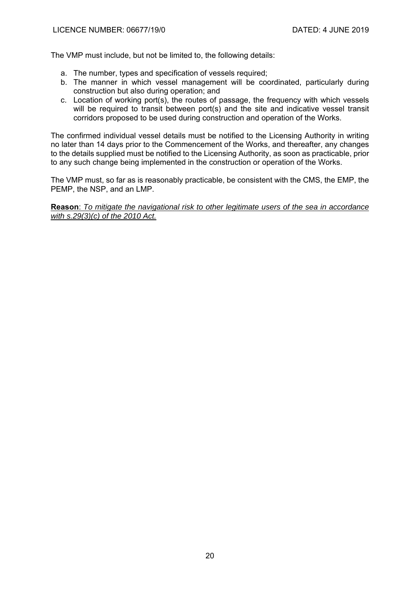The VMP must include, but not be limited to, the following details:

- a. The number, types and specification of vessels required;
- b. The manner in which vessel management will be coordinated, particularly during construction but also during operation; and
- c. Location of working port(s), the routes of passage, the frequency with which vessels will be required to transit between port(s) and the site and indicative vessel transit corridors proposed to be used during construction and operation of the Works.

The confirmed individual vessel details must be notified to the Licensing Authority in writing no later than 14 days prior to the Commencement of the Works, and thereafter, any changes to the details supplied must be notified to the Licensing Authority, as soon as practicable, prior to any such change being implemented in the construction or operation of the Works.

The VMP must, so far as is reasonably practicable, be consistent with the CMS, the EMP, the PEMP, the NSP, and an LMP.

**Reason**: *To mitigate the navigational risk to other legitimate users of the sea in accordance with s.29(3)(c) of the 2010 Act.*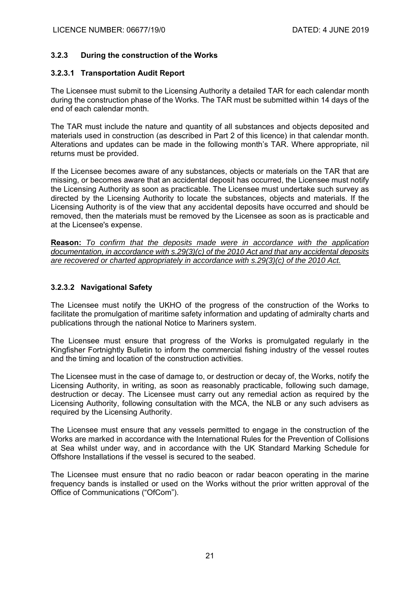## **3.2.3 During the construction of the Works**

### **3.2.3.1 Transportation Audit Report**

The Licensee must submit to the Licensing Authority a detailed TAR for each calendar month during the construction phase of the Works. The TAR must be submitted within 14 days of the end of each calendar month.

The TAR must include the nature and quantity of all substances and objects deposited and materials used in construction (as described in Part 2 of this licence) in that calendar month. Alterations and updates can be made in the following month's TAR. Where appropriate, nil returns must be provided.

If the Licensee becomes aware of any substances, objects or materials on the TAR that are missing, or becomes aware that an accidental deposit has occurred, the Licensee must notify the Licensing Authority as soon as practicable. The Licensee must undertake such survey as directed by the Licensing Authority to locate the substances, objects and materials. If the Licensing Authority is of the view that any accidental deposits have occurred and should be removed, then the materials must be removed by the Licensee as soon as is practicable and at the Licensee's expense.

**Reason:** *To confirm that the deposits made were in accordance with the application documentation, in accordance with s.29(3)(c) of the 2010 Act and that any accidental deposits are recovered or charted appropriately in accordance with s.29(3)(c) of the 2010 Act.* 

## **3.2.3.2 Navigational Safety**

The Licensee must notify the UKHO of the progress of the construction of the Works to facilitate the promulgation of maritime safety information and updating of admiralty charts and publications through the national Notice to Mariners system.

The Licensee must ensure that progress of the Works is promulgated regularly in the Kingfisher Fortnightly Bulletin to inform the commercial fishing industry of the vessel routes and the timing and location of the construction activities.

The Licensee must in the case of damage to, or destruction or decay of, the Works, notify the Licensing Authority, in writing, as soon as reasonably practicable, following such damage, destruction or decay. The Licensee must carry out any remedial action as required by the Licensing Authority, following consultation with the MCA, the NLB or any such advisers as required by the Licensing Authority.

The Licensee must ensure that any vessels permitted to engage in the construction of the Works are marked in accordance with the International Rules for the Prevention of Collisions at Sea whilst under way, and in accordance with the UK Standard Marking Schedule for Offshore Installations if the vessel is secured to the seabed.

The Licensee must ensure that no radio beacon or radar beacon operating in the marine frequency bands is installed or used on the Works without the prior written approval of the Office of Communications ("OfCom").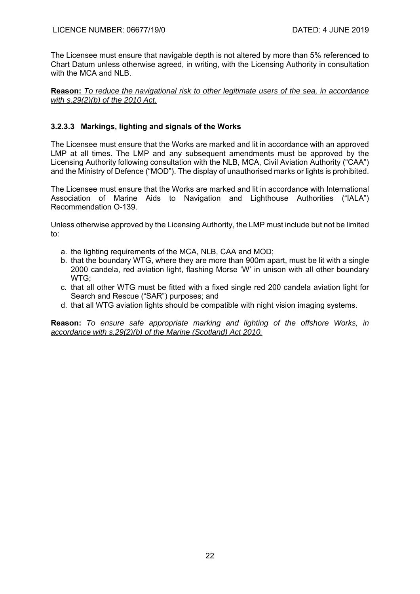The Licensee must ensure that navigable depth is not altered by more than 5% referenced to Chart Datum unless otherwise agreed, in writing, with the Licensing Authority in consultation with the MCA and NLB.

**Reason:** *To reduce the navigational risk to other legitimate users of the sea, in accordance with s.29(2)(b) of the 2010 Act.* 

# **3.2.3.3 Markings, lighting and signals of the Works**

The Licensee must ensure that the Works are marked and lit in accordance with an approved LMP at all times. The LMP and any subsequent amendments must be approved by the Licensing Authority following consultation with the NLB, MCA, Civil Aviation Authority ("CAA") and the Ministry of Defence ("MOD"). The display of unauthorised marks or lights is prohibited.

The Licensee must ensure that the Works are marked and lit in accordance with International Association of Marine Aids to Navigation and Lighthouse Authorities ("IALA") Recommendation O-139.

Unless otherwise approved by the Licensing Authority, the LMP must include but not be limited to:

- a. the lighting requirements of the MCA, NLB, CAA and MOD;
- b. that the boundary WTG, where they are more than 900m apart, must be lit with a single 2000 candela, red aviation light, flashing Morse 'W' in unison with all other boundary WTG;
- c. that all other WTG must be fitted with a fixed single red 200 candela aviation light for Search and Rescue ("SAR") purposes; and
- d. that all WTG aviation lights should be compatible with night vision imaging systems.

**Reason:** *To ensure safe appropriate marking and lighting of the offshore Works, in accordance with s.29(2)(b) of the Marine (Scotland) Act 2010.*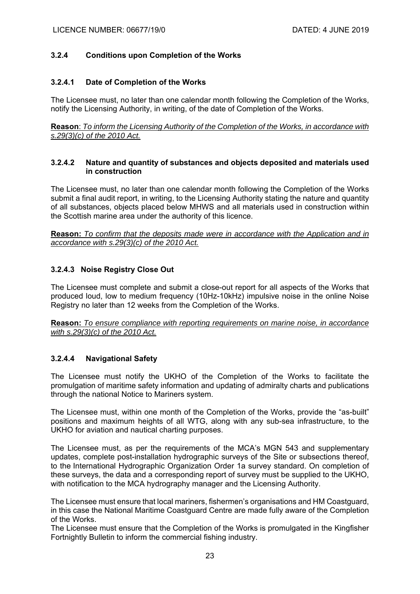### **3.2.4 Conditions upon Completion of the Works**

#### **3.2.4.1 Date of Completion of the Works**

The Licensee must, no later than one calendar month following the Completion of the Works, notify the Licensing Authority, in writing, of the date of Completion of the Works.

**Reason**: *To inform the Licensing Authority of the Completion of the Works, in accordance with s.29(3)(c) of the 2010 Act.* 

#### **3.2.4.2 Nature and quantity of substances and objects deposited and materials used in construction**

The Licensee must, no later than one calendar month following the Completion of the Works submit a final audit report, in writing, to the Licensing Authority stating the nature and quantity of all substances, objects placed below MHWS and all materials used in construction within the Scottish marine area under the authority of this licence.

**Reason:** *To confirm that the deposits made were in accordance with the Application and in accordance with s.29(3)(c) of the 2010 Act.* 

#### **3.2.4.3 Noise Registry Close Out**

The Licensee must complete and submit a close-out report for all aspects of the Works that produced loud, low to medium frequency (10Hz-10kHz) impulsive noise in the online Noise Registry no later than 12 weeks from the Completion of the Works.

**Reason:** *To ensure compliance with reporting requirements on marine noise, in accordance with s.29(3)(c) of the 2010 Act.* 

#### **3.2.4.4 Navigational Safety**

The Licensee must notify the UKHO of the Completion of the Works to facilitate the promulgation of maritime safety information and updating of admiralty charts and publications through the national Notice to Mariners system.

The Licensee must, within one month of the Completion of the Works, provide the "as-built" positions and maximum heights of all WTG, along with any sub-sea infrastructure, to the UKHO for aviation and nautical charting purposes.

The Licensee must, as per the requirements of the MCA's MGN 543 and supplementary updates, complete post-installation hydrographic surveys of the Site or subsections thereof, to the International Hydrographic Organization Order 1a survey standard. On completion of these surveys, the data and a corresponding report of survey must be supplied to the UKHO, with notification to the MCA hydrography manager and the Licensing Authority.

The Licensee must ensure that local mariners, fishermen's organisations and HM Coastguard, in this case the National Maritime Coastguard Centre are made fully aware of the Completion of the Works.

The Licensee must ensure that the Completion of the Works is promulgated in the Kingfisher Fortnightly Bulletin to inform the commercial fishing industry.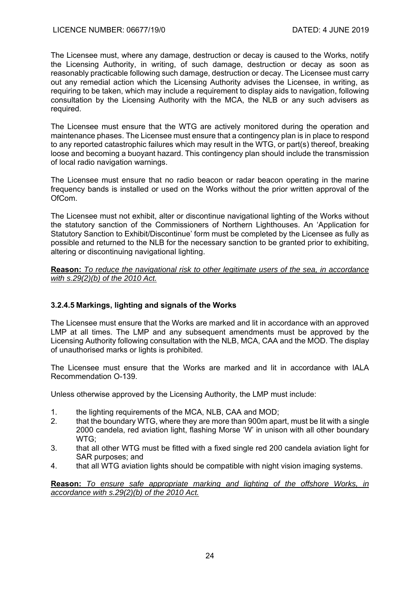The Licensee must, where any damage, destruction or decay is caused to the Works, notify the Licensing Authority, in writing, of such damage, destruction or decay as soon as reasonably practicable following such damage, destruction or decay. The Licensee must carry out any remedial action which the Licensing Authority advises the Licensee, in writing, as requiring to be taken, which may include a requirement to display aids to navigation, following consultation by the Licensing Authority with the MCA, the NLB or any such advisers as required.

The Licensee must ensure that the WTG are actively monitored during the operation and maintenance phases. The Licensee must ensure that a contingency plan is in place to respond to any reported catastrophic failures which may result in the WTG, or part(s) thereof, breaking loose and becoming a buoyant hazard. This contingency plan should include the transmission of local radio navigation warnings.

The Licensee must ensure that no radio beacon or radar beacon operating in the marine frequency bands is installed or used on the Works without the prior written approval of the OfCom.

The Licensee must not exhibit, alter or discontinue navigational lighting of the Works without the statutory sanction of the Commissioners of Northern Lighthouses. An 'Application for Statutory Sanction to Exhibit/Discontinue' form must be completed by the Licensee as fully as possible and returned to the NLB for the necessary sanction to be granted prior to exhibiting, altering or discontinuing navigational lighting.

**Reason:** *To reduce the navigational risk to other legitimate users of the sea, in accordance with s.29(2)(b) of the 2010 Act.* 

# **3.2.4.5 Markings, lighting and signals of the Works**

The Licensee must ensure that the Works are marked and lit in accordance with an approved LMP at all times. The LMP and any subsequent amendments must be approved by the Licensing Authority following consultation with the NLB, MCA, CAA and the MOD. The display of unauthorised marks or lights is prohibited.

The Licensee must ensure that the Works are marked and lit in accordance with IALA Recommendation O-139.

Unless otherwise approved by the Licensing Authority, the LMP must include:

- 1. the lighting requirements of the MCA, NLB, CAA and MOD;<br>2. that the boundary WTG, where they are more than 900m apa
- that the boundary WTG, where they are more than 900m apart, must be lit with a single 2000 candela, red aviation light, flashing Morse 'W' in unison with all other boundary WTG;
- 3. that all other WTG must be fitted with a fixed single red 200 candela aviation light for SAR purposes; and
- 4. that all WTG aviation lights should be compatible with night vision imaging systems.

**Reason:** *To ensure safe appropriate marking and lighting of the offshore Works, in accordance with s.29(2)(b) of the 2010 Act.*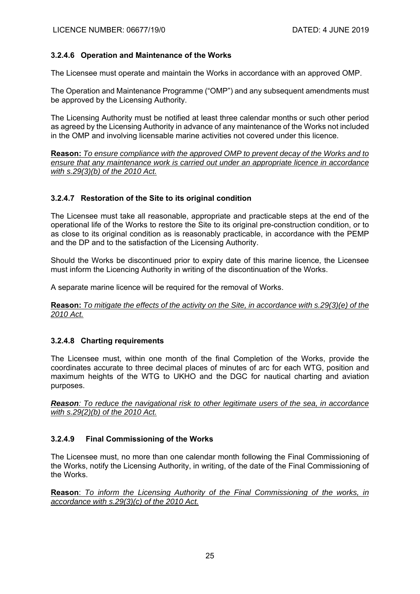## **3.2.4.6 Operation and Maintenance of the Works**

The Licensee must operate and maintain the Works in accordance with an approved OMP.

The Operation and Maintenance Programme ("OMP") and any subsequent amendments must be approved by the Licensing Authority.

The Licensing Authority must be notified at least three calendar months or such other period as agreed by the Licensing Authority in advance of any maintenance of the Works not included in the OMP and involving licensable marine activities not covered under this licence.

**Reason:** *To ensure compliance with the approved OMP to prevent decay of the Works and to ensure that any maintenance work is carried out under an appropriate licence in accordance with s.29(3)(b) of the 2010 Act.* 

## **3.2.4.7 Restoration of the Site to its original condition**

The Licensee must take all reasonable, appropriate and practicable steps at the end of the operational life of the Works to restore the Site to its original pre-construction condition, or to as close to its original condition as is reasonably practicable, in accordance with the PEMP and the DP and to the satisfaction of the Licensing Authority.

Should the Works be discontinued prior to expiry date of this marine licence, the Licensee must inform the Licencing Authority in writing of the discontinuation of the Works.

A separate marine licence will be required for the removal of Works.

**Reason:** *To mitigate the effects of the activity on the Site, in accordance with s.29(3)(e) of the 2010 Act.* 

### **3.2.4.8 Charting requirements**

The Licensee must, within one month of the final Completion of the Works, provide the coordinates accurate to three decimal places of minutes of arc for each WTG, position and maximum heights of the WTG to UKHO and the DGC for nautical charting and aviation purposes.

*Reason: To reduce the navigational risk to other legitimate users of the sea, in accordance with s.29(2)(b) of the 2010 Act.* 

### **3.2.4.9 Final Commissioning of the Works**

The Licensee must, no more than one calendar month following the Final Commissioning of the Works, notify the Licensing Authority, in writing, of the date of the Final Commissioning of the Works.

**Reason**: *To inform the Licensing Authority of the Final Commissioning of the works, in accordance with s.29(3)(c) of the 2010 Act.*